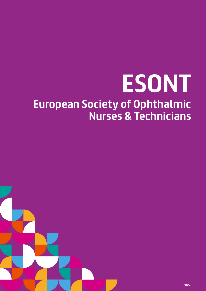# **ESONT European Society of Ophthalmic Nurses & Technicians**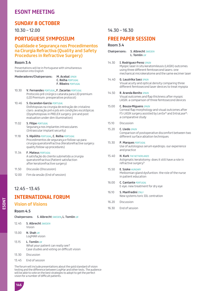# **ESONT MEETING**

## **SUNDAY 8 OCTOBER**

 $10.30 - 12.00$ 

## **PORTUGUESE SYMPOSIUM**

## **Qualidade e Segurança nos Procedimentos na Cirurgia Refractiva (Quality and Safety Procedures in Refractive Surgery)**

#### **Room 3.4**

Presentations will be in Portuguese with simultaneous translation into English

| Moderadores/Chairpersons: | <b>M. Acebal SPAIN</b>     |
|---------------------------|----------------------------|
|                           | C. Relha PORTUGAL          |
|                           | <b>F. Ribeiro PORTUGAL</b> |
|                           |                            |

- 10.30 **V. Fernandes** *PORTUGAL***, F. Zacarias** *PORTUGAL* Protocolo pré cirúrgico catarata para LIO premium (LIO Premium: preoperative protocol)
- 10.46 **S. Escandon-Garcia** *PORTUGAL* Disfotopsias na cirurgia de extração de cristalino claro: avaliação pré e pós em condições escotópicas (Dysphotopsias in PRELEX surgery: pre and post evaluation under dim illumination)
- 11.02 **S. Filipe** *PORTUGAL* Segurança nos implantes intraoculares (Intraocular implant security)
- 11.18 **S. Hipólito** *PORTUGAL***, C. Relha** *PORTUGAL* Procedimentos de segurança e follow-up para cirurgia queratorefractiva (Keratorefractive surgery: quality follow-up procedures)
- 11.34 **F. Mateus** *PORTUGAL* A satisfação do cliente submetido a cirurgia queratorefractiva (Patient satisfaction after keratorefractive surgery)
- 11.50 Discussão (Discussion)
- 12.00 Fim da sessão (End of session)

## 12.45 – 13.45

## **INTERNATIONAL FORUM**

## **Vision of Visions**

#### **Room 4.5**

**Chairpersons: S. Albrecht** *SWEDEN***, L. Tomlin** *UK*

- 12.45 **S. Albrecht** *SWEDEN* Vision
- 13.00 **N. Shah** *UK* LogMAR vision
- 13.15 **L. Tomlin** *UK* What your patient can really see? Case studies and voting on difficult vision
- 13.30 Discussion
- 13.45 End of session

The forum will include presentations about the gold standard of vision testing and the difference between LogMar and other tests. The audience will be able to vote on the best strategies to adopt to get the perfect vision for a number of difficult patients.

## 14.30 – 16.30

# **FREE PAPER SESSION**

#### **Room 3.4**

- **Chairpersons: S. Albrecht** *SWEDEN* **L. Tomlin** *UK*
- 14.30 **I. Rodriguez-Perez** *SPAIN*

Myopic laser in situ keratomileusis (LASIK) outcomes using three different femtosecond lasers: one mechanical microkeratome and the same excimer laser

#### 14.40 **G. Lauzirika Saez** *SPAIN*

Visual acuity and optical density comparing three different femtosecond laser devices to treat myopia

#### 14.50 **R. Aranda Benito** *SPAIN* Visual outcomes and flap thickness after myopic

LASIK: a comparison of three femtosecond devices

- 15.00 **C. Bouza-Miguens** *SPAIN* Corneal flap morphology and visual outcomes after FS-LASIK surgery assisted by LenSx® and IntraLase®: a comparative study
- 15.10 Discussion

#### 15.20 **C. Lledo** *SPAIN*

Comparison of postoperative discomfort between two different surface ablation techniques

# 15.30 **P. Marques** *PORTUGAL*

Use of autologous serum eyedrops: our experience and practice

- 15.40 **H. Kurk** *THE NETHERLANDS* Astigmatic keratotomy: does it still have a role in refractive surgery?
- 15.50 **E. Szoke** *HUNGARY* Meibomian gland dysfuntion: the role of the nurse in patient education
- 16.00 **C. Cantante** *PORTUGAL* E-eye: new treatment for dry eye
- 16.10 **S. Manfredini** *ITALY* New systems toric IOL centration
- 16.20 Discussion
- 16.30 End of session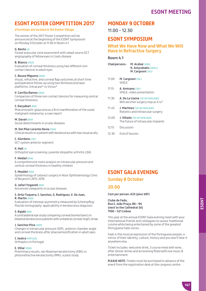# **ESONT MEETING**

# **ESONT POSTER COMPETITION 2017**

#### **eTerminals are located in the Poster Village**

The winner of the 2017 Poster Competition will be announced at the beginning of the ESONT Symposium on Monday 9 October at 11.00 in Room 4.1

#### **G. Bento** *UK*

Foveal avascular zone assessment with swept source OCT angiography of fellow eyes in Coats disease

#### **B. Blanco** *SPAIN*

Evaluation of corneal thickness using two different noncontact devices in adult eyes

#### **C. Bouza-Miguens** *SPAIN*

Visual, refractive, and corneal flap outcomes at short time postoperative follow-up using two femtosecond laser platforms: IntraLase® vs Victus®

#### **V. Carrillo Ramos** *SPAIN*

Comparison of three non-contact devices for measuring central corneal thickness

#### **S. Daryabari** *IRAN*

Phacomorphic glaucoma as a first manifestation of the uveal malignant melanoma: a case report

**M. Davari** *IRAN* Social determinants in ocular diseases

#### **M. Del Pilar Lorente Hevia** *SPAIN*

Clinical results in a patient with keratoconus with low visual acuity

#### **C. Giordano** *ITALY*

OCT system anterior segment

#### **K. Hall** *UK*

Orthoptist eye screening: juvenile idiopathic arthritis (JIA)

#### **F. Heidari** *IRAN*

A comprehensive meta-analysis on intraocular pressure and central corneal thickness in healthy children

#### **S. Heydari** *IRAN*

Epidemiology of cataract surgery in Noor Ophthalmology Clinic of Birjand in 2015-2016

#### **G. Jafari-Yeganeh** *IRAN*

Avicenna's viewpoints in ocular diseases

#### **S. Ortiz-Toquero, I. Sanchez, G. Rodriguez, V. De Juan, R. Martin** *SPAIN*

Evaluation of intereye asymmetry measured by Scheimpflug-Placido tomography: applicability in keratoconus diagnosis

#### **S. Rajabi** *IRAN*

A contralateral eye study comparing corneal biomechanics in bilateral keratoconus patients with unilateral corneal Vogt's striae

#### **J. Sanchez-Pina** *SPAIN*

Changes in intraocular pressure (IOP), anterior chamber angle and corneal thickness after phacoemulsification in adult eyes

#### **I. Seatra** *PORTUGAL*

Orthoptics in Portugal

#### **E. Villar** *SPAIN*

Preliminary results, epi-Bowman keratectomy (EBK) vs photorefractive keratectomy (PRK): a pilot study

## **MONDAY 9 OCTOBER**

11.00 – 12.30

## **ESONT SYMPOSIUM**

## **What We Have Now and What We Will Have in Refractive Surgery**

#### **Room 4.1**

- **Chairpersons: M. Acebal** *SPAIN* **N. Astyrakakis** *GREECE* **M. Cargnoni** *ITALY*
- 11.00 **M. Cargnoni** *ITALY* SMILE
- 11.15 **A. Amisano** *ITALY* SMILE: video presentation
- 11.30 **A. De La Llama** *THE NETHERLANDS* Will excimer surgery stay as it is?
- 11.45 **J. Martinez** *THE NETHERLANDS* Robotics and intraocular surgery
- 12.00 **J. Villada** *THE NETHERLANDS* The future of intraocular implants
- 12.15 Discussion
- 12.30 End of Session

# **ESONT GALA EVENING Sunday 8 October**

## **20.00**

**Cost per person: €25 (plus VAT)**

**Clube de Fado, Rua S. João Praça, 86 – 94 (next to the Cathedral Sé) 1100 – 521 Lisboa**

This year at the annual ESONT Gala evening meet with your international friends and colleagues to savour traditional cuisine while being entertained by some of the greatest Portuguese Fado voices.

Fado is the musical expression of the Portuguese people, a mirror of their identity, culture, history and you won't hear it anywhere else.

Ticket includes: welcome drink, 3 course meal with wine, after dinner drinks and an evening filled with live music & entertainment.

**PLEASE NOTE:** Tickets must be purchased in advance of the event from the registration desk at the congress centre.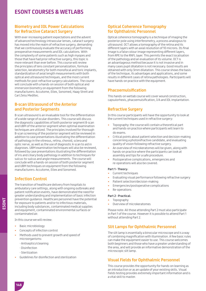# **ESONT COURSES & WETLABS**

## **Biometry and IOL Power Calculations for Refractive Cataract Surgery**

With ever-increasing patient expectations and the advent of advanced technology intraocular lenses, cataract surgery has moved into the realm of refractive surgery, demanding that we continuously evaluate the accuracy of performing preoperative measurements and IOL calculations. With the complexity of some patients such as high myopes and those that have had prior refractive surgery, this topic is more relevant than ever before. This course will review the principles of lens constant personalization, formula selection, keratometry for both monofocal and toric implants, standardization of axial length measurements with both optical and ultrasound techniques, and the most current methods for post-refractive surgery calculations. The course will conclude with a hands-on session of both optical and immersion biometry on equipment from the following manufacturers: Accutome, Ellex, Sonomed, Haag-Streit and Carl Zeiss Meditec.

### **B-scan Ultrasound of the Anterior and Posterior Segments**

B-scan ultrasound is an invaluable tool for the differentiation of a wide range of ocular disorders. This course will discuss the diagnostic capabilities of both posterior segment B-scan and UBM of the anterior segment when optimal examination techniques are utilized. The principles involved for thorough B-scan screening of the posterior segment will be reviewed in addition to case presentations illustrating the differentiation of pathology in the vitreous, retina, choroid, sclera and optic nerve, as well as the use of diagnostic A-scan to aid in diagnoses. UBM examination techniques will also be reviewed, followed by case presentations illustrating the differentiation of iris and ciliary body pathology in addition to techniques for sulcus-to-sulcus and angle measurements. The course will conclude with a hands-on session of both posterior segment and UBM techniques on equipment from the following manufacturers: Accutome, Ellex and Sonomed.

## **Infection Control**

The transition of healthcare delivery from hospitals to ambulatory care settings, along with ongoing outbreaks and patient notification events, have demonstrated the need for greater understanding and implementation of basic infection prevention guidance. Healthcare personnel have the potential for exposure to patients and/or to infectious materials, including body substances, contaminated medical supplies and equipment, contaminated environmental surfaces or contaminated air.

In this course we will review:

- Basic microbiology
- Concepts of infection control
- Methods used to prevent growth and speed of microorganisms:
	- Antiseptics/cleaning
	- Disinfection
	- Sterilization
- Guidelines for disinfection and sterilization

## **Optical Coherence Tomography for Ophthalmic Personnel**

Optical coherence tomography is a technique of imaging the posterior pole using interferometry, a process analogous to ultrasound. OCT allows a tomography of the retina and its different layers with an axial resolution of 10 microns. Its final image is a false colour image representing different layers, from RPE to the RNFL layer. This permits the exact localisation of the pathology and an evaluation of its volume. OCT is an advantageous method because it is not invasive and in many cases pupil dilatation is not necessary. Good results are obtained with only 3mm dilatation. This course shows the basis of the technique, its advantages and applications, and some results in different cases of retina pathologies. Participants will have hands-on practice with the equipment.

## **Phacoemulsification**

This hands-on wetlab course will cover wound construction, capsulorhexis, phacoemulsification, I/A and IOL implantation.

## **Refractive Surgery**

In this course participants will have the opportunity to look at the current techniques used in refractive surgery:

- Topography: the course will contain a theoretical part and hands-on practice where participants will learn to do exams.
- Critical points about patient selection and decision-making concerning a photorefractive candidate, and evaluating quality of vision following refractive surgery.
- An overview of microkeratomes will be given, along with hands-on practice where the participants can look at assembly and tips for a safe procedure.
- Postoperative complications, emergencies and re-operations will also be covered.

#### **Part 1 - Theory:**

- Current techniques
- Evaluating visual performance following refractive surgery
- Patient selection/decision-making
	- Emergencies/postoperative complications
	- Re-operations

#### **Part 2 - Practical:**

- Topography
- Overview of microkeratomes

Please note: All those attending Part 2 must also participate in Part 1 of the course. However it is possible to attend Part 1 without attending Part 2.

## **Slit Lamps for Ophthalmic Personnel**

The slit lamp is essentially a binocular microscope and is a way of combining magnification with illumination. A few basic rules can make the equipment easier to use. This course welcomes both beginners and those who have a greater understanding of the area, and will provide an informative demonstration of the microscopic slit lamp.

## **Visual Fields for Ophthalmic Personnel**

This course provides the opportunity for hands-on learning as an introduction or as an update of your existing skills. Visual fields testing provides extremely important information and is a vital skill to master.